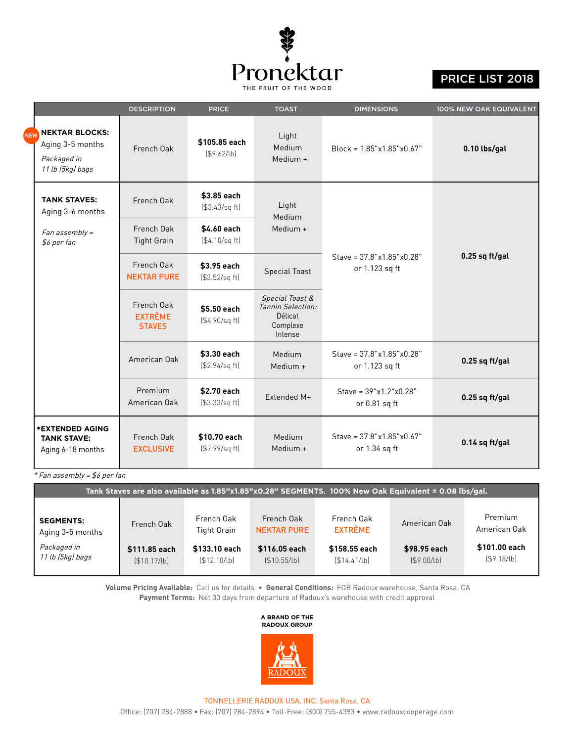

## PRICE LIST 2018

|  |                                                                              | <b>DESCRIPTION</b>                            | <b>PRICE</b>                      | <b>TOAST</b>                                                           | <b>DIMENSIONS</b>                                     | 100% NEW OAK EQUIVALENT |  |
|--|------------------------------------------------------------------------------|-----------------------------------------------|-----------------------------------|------------------------------------------------------------------------|-------------------------------------------------------|-------------------------|--|
|  | <b>NEKTAR BLOCKS:</b><br>Aging 3-5 months<br>Packaged in<br>11 lb (5kg) bags | French Oak                                    | \$105.85 each<br>\$9.62/b]        | Light<br>Medium<br>Medium +                                            | $Block = 1.85"x1.85"x0.67"$                           | 0.10 lbs/gal            |  |
|  | <b>TANK STAVES:</b><br>Aging 3-6 months                                      | French Oak                                    | \$3.85 each<br>( \$3.43/sq ft)    | Light<br>Medium                                                        |                                                       |                         |  |
|  | Fan assembly =<br>\$6 per fan                                                | French Oak<br><b>Tight Grain</b>              | \$4.60 each<br>(4.10/sq ft)       | Medium +                                                               |                                                       |                         |  |
|  |                                                                              | French Oak<br><b>NEKTAR PURE</b>              | \$3.95 each<br>(\$3.52/sq ft)     | <b>Special Toast</b>                                                   | Stave = $37.8$ "x1.85"x0.28"<br>or 1.123 sq ft        | $0.25$ sq ft/gal        |  |
|  |                                                                              | French Oak<br><b>EXTRÊME</b><br><b>STAVES</b> | \$5.50 each<br>( \$4.90/sq ft]    | Special Toast &<br>Tannin Selection:<br>Délicat<br>Complexe<br>Intense |                                                       |                         |  |
|  |                                                                              | American Oak                                  | \$3.30 each<br>(\$2.94/sq ft)     | Medium<br>Medium +                                                     | Stave = 37.8"x1.85"x0.28"<br>or 1.123 sq ft           | $0.25$ sq ft/gal        |  |
|  |                                                                              | Premium<br>American Oak                       | \$2.70 each<br>(\$3.33/sq ft)     | Extended M+                                                            | Stave = $39"x1.2"x0.28"$<br>or 0.81 sq ft             | $0.25$ sq ft/gal        |  |
|  | <b>*EXTENDED AGING</b><br><b>TANK STAVE:</b><br>Aging 6-18 months            | French Oak<br><b>EXCLUSIVE</b>                | \$10.70 each<br>$( $7.99$ /sq ft) | Medium<br>Medium +                                                     | Stave = $37.8$ "x $1.85$ "x $0.67$ "<br>or 1.34 sq ft | 0.14 sq ft/gal          |  |

\* Fan assembly = \$6 per fan

| Tank Staves are also available as 1.85"x1.85"x0.28" SEGMENTS. 100% New Oak Equivalent = 0.08 lbs/gal. |                              |                                  |                                  |                               |                              |                                        |  |  |
|-------------------------------------------------------------------------------------------------------|------------------------------|----------------------------------|----------------------------------|-------------------------------|------------------------------|----------------------------------------|--|--|
|                                                                                                       |                              |                                  |                                  |                               |                              |                                        |  |  |
| <b>SEGMENTS:</b><br>Aging 3-5 months                                                                  | French Oak                   | French Oak<br><b>Tight Grain</b> | French Oak<br><b>NEKTAR PURE</b> | French Oak<br><b>EXTRÊME</b>  | American Oak                 | Premium<br>American Oak                |  |  |
| Packaged in<br>11 lb (5kg) bags                                                                       | \$111.85 each<br>\$10.17/lb] | \$133.10 each<br>( \$12.10/lb]   | \$116.05 each<br>\$10.55/lb]     | \$158.55 each<br>[\$14.41/lb] | \$98.95 each<br>( \$9.00/lb] | \$101.00 each<br>$($ \$9.18 $/$ lb $)$ |  |  |

**Volume Pricing Available:** Call us for details • **General Conditions:** FOB Radoux warehouse, Santa Rosa, CA **Payment Terms:** Net 30 days from departure of Radoux's warehouse with credit approval

## **A BRAND OF THE RADOUX GROUP**